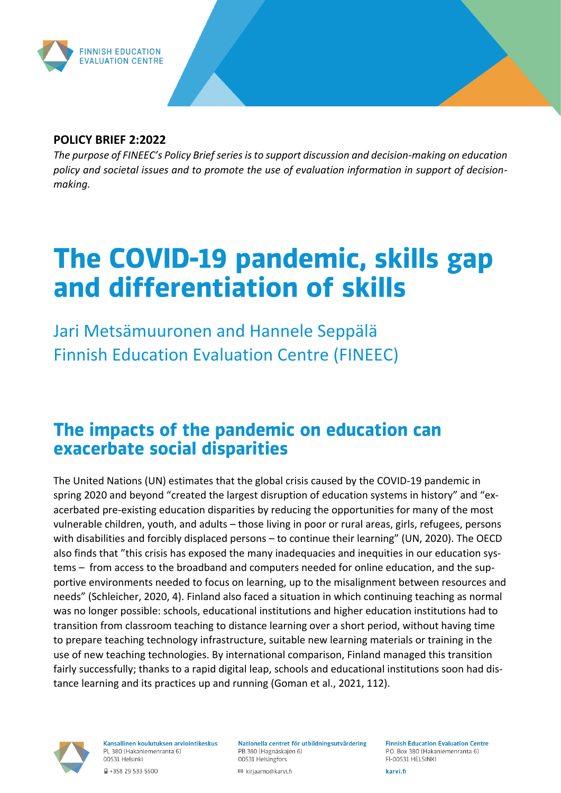

#### **POLICY BRIEF 2:2022**

*The purpose of FINEEC's Policy Brief series is to support discussion and decision-making on education policy and societal issues and to promote the use of evaluation information in support of decisionmaking.*

# The COVID-19 pandemic, skills gap and differentiation of skills

Jari Metsämuuronen and Hannele Seppälä Finnish Education Evaluation Centre (FINEEC)

#### The impacts of the pandemic on education can exacerbate social disparities

The United Nations (UN) estimates that the global crisis caused by the COVID-19 pandemic in spring 2020 and beyond "created the largest disruption of education systems in history" and "exacerbated pre-existing education disparities by reducing the opportunities for many of the most vulnerable children, youth, and adults – those living in poor or rural areas, girls, refugees, persons with disabilities and forcibly displaced persons – to continue their learning" (UN, 2020). The OECD also finds that "this crisis has exposed the many inadequacies and inequities in our education systems – from access to the broadband and computers needed for online education, and the supportive environments needed to focus on learning, up to the misalignment between resources and needs" (Schleicher, 2020, 4). Finland also faced a situation in which continuing teaching as normal was no longer possible: schools, educational institutions and higher education institutions had to transition from classroom teaching to distance learning over a short period, without having time to prepare teaching technology infrastructure, suitable new learning materials or training in the use of new teaching technologies. By international comparison, Finland managed this transition fairly successfully; thanks to a rapid digital leap, schools and educational institutions soon had distance learning and its practices up and running (Goman et al., 2021, 112).



Kansallinen koulutuksen arviointikeskus PL 380 (Hakaniemenranta 6) 00531 Helsinki

■ +358 29 533 5500

Nationella centret för utbildningsutvärdering PB 380 (Hagnäskajen 6) 00531 Helsingfors

■ kirjaamo@karvi.fi

**Finnish Education Evaluation Centre** P.O. Box 380 (Hakaniemenranta 6) FI-00531 HELSINKI

karvi.fi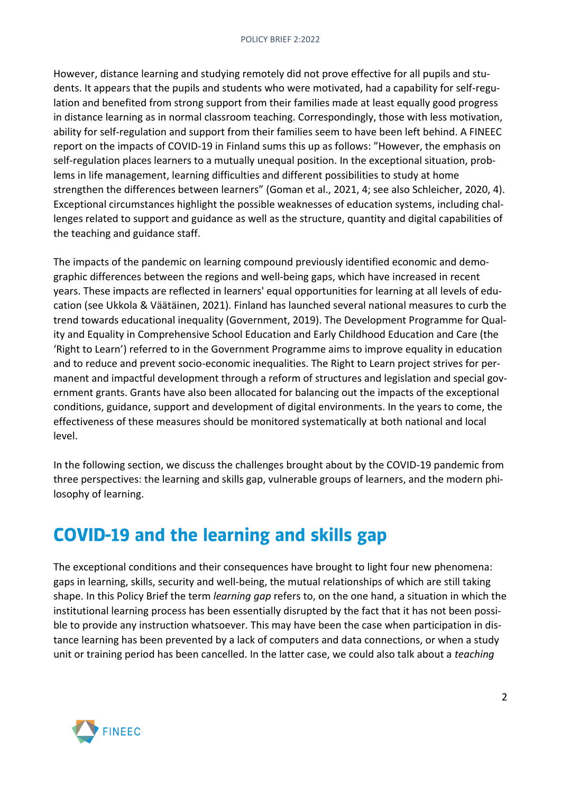However, distance learning and studying remotely did not prove effective for all pupils and students. It appears that the pupils and students who were motivated, had a capability for self-regulation and benefited from strong support from their families made at least equally good progress in distance learning as in normal classroom teaching. Correspondingly, those with less motivation, ability for self-regulation and support from their families seem to have been left behind. A FINEEC report on the impacts of COVID-19 in Finland sums this up as follows: "However, the emphasis on self-regulation places learners to a mutually unequal position. In the exceptional situation, problems in life management, learning difficulties and different possibilities to study at home strengthen the differences between learners" (Goman et al., 2021, 4; see also Schleicher, 2020, 4). Exceptional circumstances highlight the possible weaknesses of education systems, including challenges related to support and guidance as well as the structure, quantity and digital capabilities of the teaching and guidance staff.

The impacts of the pandemic on learning compound previously identified economic and demographic differences between the regions and well-being gaps, which have increased in recent years. These impacts are reflected in learners' equal opportunities for learning at all levels of education (see Ukkola & Väätäinen, 2021). Finland has launched several national measures to curb the trend towards educational inequality (Government, 2019). The Development Programme for Quality and Equality in Comprehensive School Education and Early Childhood Education and Care (the 'Right to Learn') referred to in the Government Programme aims to improve equality in education and to reduce and prevent socio-economic inequalities. The Right to Learn project strives for permanent and impactful development through a reform of structures and legislation and special government grants. Grants have also been allocated for balancing out the impacts of the exceptional conditions, guidance, support and development of digital environments. In the years to come, the effectiveness of these measures should be monitored systematically at both national and local level.

In the following section, we discuss the challenges brought about by the COVID-19 pandemic from three perspectives: the learning and skills gap, vulnerable groups of learners, and the modern philosophy of learning.

#### **COVID-19 and the learning and skills gap**

The exceptional conditions and their consequences have brought to light four new phenomena: gaps in learning, skills, security and well-being, the mutual relationships of which are still taking shape. In this Policy Brief the term *learning gap* refers to, on the one hand, a situation in which the institutional learning process has been essentially disrupted by the fact that it has not been possible to provide any instruction whatsoever. This may have been the case when participation in distance learning has been prevented by a lack of computers and data connections, or when a study unit or training period has been cancelled. In the latter case, we could also talk about a *teaching* 

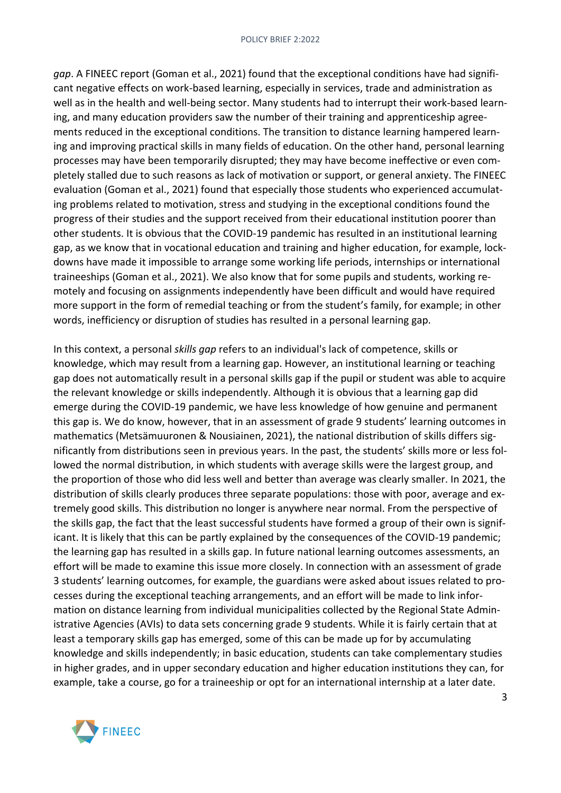*gap*. A FINEEC report (Goman et al., 2021) found that the exceptional conditions have had significant negative effects on work-based learning, especially in services, trade and administration as well as in the health and well-being sector. Many students had to interrupt their work-based learning, and many education providers saw the number of their training and apprenticeship agreements reduced in the exceptional conditions. The transition to distance learning hampered learning and improving practical skills in many fields of education. On the other hand, personal learning processes may have been temporarily disrupted; they may have become ineffective or even completely stalled due to such reasons as lack of motivation or support, or general anxiety. The FINEEC evaluation (Goman et al., 2021) found that especially those students who experienced accumulating problems related to motivation, stress and studying in the exceptional conditions found the progress of their studies and the support received from their educational institution poorer than other students. It is obvious that the COVID-19 pandemic has resulted in an institutional learning gap, as we know that in vocational education and training and higher education, for example, lockdowns have made it impossible to arrange some working life periods, internships or international traineeships (Goman et al., 2021). We also know that for some pupils and students, working remotely and focusing on assignments independently have been difficult and would have required more support in the form of remedial teaching or from the student's family, for example; in other words, inefficiency or disruption of studies has resulted in a personal learning gap.

In this context, a personal *skills gap* refers to an individual's lack of competence, skills or knowledge, which may result from a learning gap. However, an institutional learning or teaching gap does not automatically result in a personal skills gap if the pupil or student was able to acquire the relevant knowledge or skills independently. Although it is obvious that a learning gap did emerge during the COVID-19 pandemic, we have less knowledge of how genuine and permanent this gap is. We do know, however, that in an assessment of grade 9 students' learning outcomes in mathematics (Metsämuuronen & Nousiainen, 2021), the national distribution of skills differs significantly from distributions seen in previous years. In the past, the students' skills more or less followed the normal distribution, in which students with average skills were the largest group, and the proportion of those who did less well and better than average was clearly smaller. In 2021, the distribution of skills clearly produces three separate populations: those with poor, average and extremely good skills. This distribution no longer is anywhere near normal. From the perspective of the skills gap, the fact that the least successful students have formed a group of their own is significant. It is likely that this can be partly explained by the consequences of the COVID-19 pandemic; the learning gap has resulted in a skills gap. In future national learning outcomes assessments, an effort will be made to examine this issue more closely. In connection with an assessment of grade 3 students' learning outcomes, for example, the guardians were asked about issues related to processes during the exceptional teaching arrangements, and an effort will be made to link information on distance learning from individual municipalities collected by the Regional State Administrative Agencies (AVIs) to data sets concerning grade 9 students. While it is fairly certain that at least a temporary skills gap has emerged, some of this can be made up for by accumulating knowledge and skills independently; in basic education, students can take complementary studies in higher grades, and in upper secondary education and higher education institutions they can, for example, take a course, go for a traineeship or opt for an international internship at a later date.

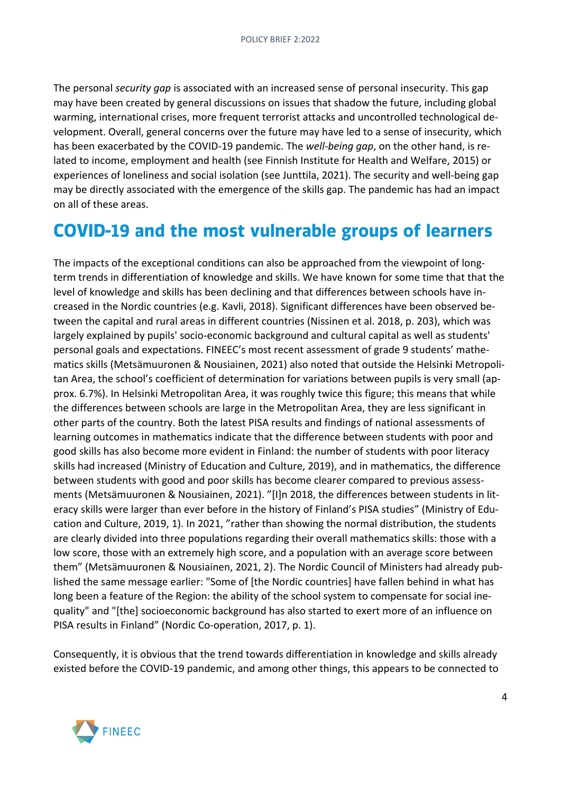The personal *security gap* is associated with an increased sense of personal insecurity. This gap may have been created by general discussions on issues that shadow the future, including global warming, international crises, more frequent terrorist attacks and uncontrolled technological development. Overall, general concerns over the future may have led to a sense of insecurity, which has been exacerbated by the COVID-19 pandemic. The *well-being gap*, on the other hand, is related to income, employment and health (see Finnish Institute for Health and Welfare, 2015) or experiences of loneliness and social isolation (see Junttila, 2021). The security and well-being gap may be directly associated with the emergence of the skills gap. The pandemic has had an impact on all of these areas.

#### **COVID-19 and the most vulnerable groups of learners**

The impacts of the exceptional conditions can also be approached from the viewpoint of longterm trends in differentiation of knowledge and skills. We have known for some time that that the level of knowledge and skills has been declining and that differences between schools have increased in the Nordic countries (e.g. Kavli, 2018). Significant differences have been observed between the capital and rural areas in different countries (Nissinen et al. 2018, p. 203), which was largely explained by pupils' socio-economic background and cultural capital as well as students' personal goals and expectations. FINEEC's most recent assessment of grade 9 students' mathematics skills (Metsämuuronen & Nousiainen, 2021) also noted that outside the Helsinki Metropolitan Area, the school's coefficient of determination for variations between pupils is very small (approx. 6.7%). In Helsinki Metropolitan Area, it was roughly twice this figure; this means that while the differences between schools are large in the Metropolitan Area, they are less significant in other parts of the country. Both the latest PISA results and findings of national assessments of learning outcomes in mathematics indicate that the difference between students with poor and good skills has also become more evident in Finland: the number of students with poor literacy skills had increased (Ministry of Education and Culture, 2019), and in mathematics, the difference between students with good and poor skills has become clearer compared to previous assessments (Metsämuuronen & Nousiainen, 2021). "[I]n 2018, the differences between students in literacy skills were larger than ever before in the history of Finland's PISA studies" (Ministry of Education and Culture, 2019, 1). In 2021, "rather than showing the normal distribution, the students are clearly divided into three populations regarding their overall mathematics skills: those with a low score, those with an extremely high score, and a population with an average score between them" (Metsämuuronen & Nousiainen, 2021, 2). The Nordic Council of Ministers had already published the same message earlier: "Some of [the Nordic countries] have fallen behind in what has long been a feature of the Region: the ability of the school system to compensate for social inequality" and "[the] socioeconomic background has also started to exert more of an influence on PISA results in Finland" (Nordic Co-operation, 2017, p. 1).

Consequently, it is obvious that the trend towards differentiation in knowledge and skills already existed before the COVID-19 pandemic, and among other things, this appears to be connected to

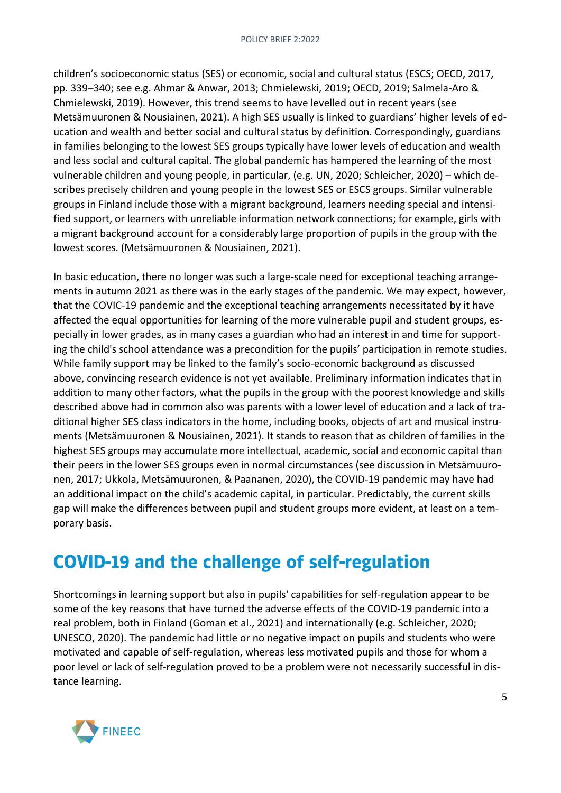children's socioeconomic status (SES) or economic, social and cultural status (ESCS; OECD, 2017, pp. 339–340; see e.g. Ahmar & Anwar, 2013; Chmielewski, 2019; OECD, 2019; Salmela-Aro & Chmielewski, 2019). However, this trend seems to have levelled out in recent years (see Metsämuuronen & Nousiainen, 2021). A high SES usually is linked to guardians' higher levels of education and wealth and better social and cultural status by definition. Correspondingly, guardians in families belonging to the lowest SES groups typically have lower levels of education and wealth and less social and cultural capital. The global pandemic has hampered the learning of the most vulnerable children and young people, in particular, (e.g. UN, 2020; Schleicher, 2020) – which describes precisely children and young people in the lowest SES or ESCS groups. Similar vulnerable groups in Finland include those with a migrant background, learners needing special and intensified support, or learners with unreliable information network connections; for example, girls with a migrant background account for a considerably large proportion of pupils in the group with the lowest scores. (Metsämuuronen & Nousiainen, 2021).

In basic education, there no longer was such a large-scale need for exceptional teaching arrangements in autumn 2021 as there was in the early stages of the pandemic. We may expect, however, that the COVIC-19 pandemic and the exceptional teaching arrangements necessitated by it have affected the equal opportunities for learning of the more vulnerable pupil and student groups, especially in lower grades, as in many cases a guardian who had an interest in and time for supporting the child's school attendance was a precondition for the pupils' participation in remote studies. While family support may be linked to the family's socio-economic background as discussed above, convincing research evidence is not yet available. Preliminary information indicates that in addition to many other factors, what the pupils in the group with the poorest knowledge and skills described above had in common also was parents with a lower level of education and a lack of traditional higher SES class indicators in the home, including books, objects of art and musical instruments (Metsämuuronen & Nousiainen, 2021). It stands to reason that as children of families in the highest SES groups may accumulate more intellectual, academic, social and economic capital than their peers in the lower SES groups even in normal circumstances (see discussion in Metsämuuronen, 2017; Ukkola, Metsämuuronen, & Paananen, 2020), the COVID-19 pandemic may have had an additional impact on the child's academic capital, in particular. Predictably, the current skills gap will make the differences between pupil and student groups more evident, at least on a temporary basis.

# **COVID-19 and the challenge of self-regulation**

Shortcomings in learning support but also in pupils' capabilities for self-regulation appear to be some of the key reasons that have turned the adverse effects of the COVID-19 pandemic into a real problem, both in Finland (Goman et al., 2021) and internationally (e.g. Schleicher, 2020; UNESCO, 2020). The pandemic had little or no negative impact on pupils and students who were motivated and capable of self-regulation, whereas less motivated pupils and those for whom a poor level or lack of self-regulation proved to be a problem were not necessarily successful in distance learning.

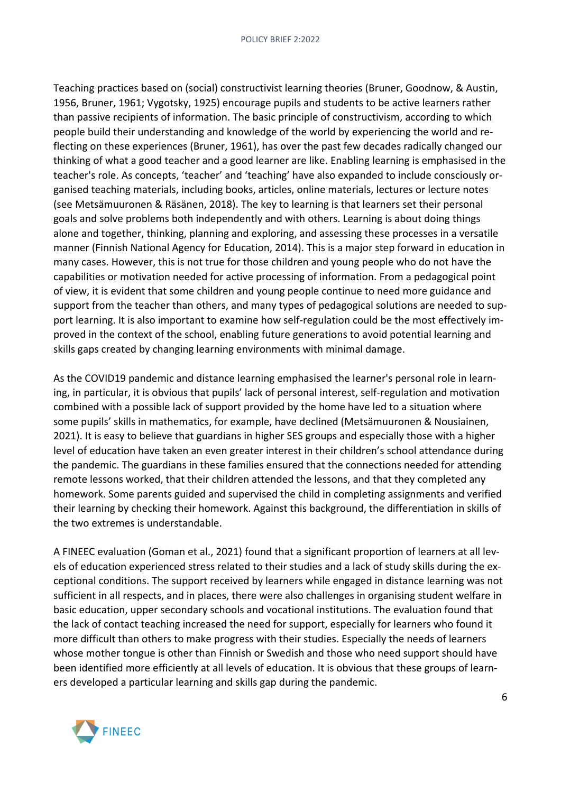Teaching practices based on (social) constructivist learning theories (Bruner, Goodnow, & Austin, 1956, Bruner, 1961; Vygotsky, 1925) encourage pupils and students to be active learners rather than passive recipients of information. The basic principle of constructivism, according to which people build their understanding and knowledge of the world by experiencing the world and reflecting on these experiences (Bruner, 1961), has over the past few decades radically changed our thinking of what a good teacher and a good learner are like. Enabling learning is emphasised in the teacher's role. As concepts, 'teacher' and 'teaching' have also expanded to include consciously organised teaching materials, including books, articles, online materials, lectures or lecture notes (see Metsämuuronen & Räsänen, 2018). The key to learning is that learners set their personal goals and solve problems both independently and with others. Learning is about doing things alone and together, thinking, planning and exploring, and assessing these processes in a versatile manner (Finnish National Agency for Education, 2014). This is a major step forward in education in many cases. However, this is not true for those children and young people who do not have the capabilities or motivation needed for active processing of information. From a pedagogical point of view, it is evident that some children and young people continue to need more guidance and support from the teacher than others, and many types of pedagogical solutions are needed to support learning. It is also important to examine how self-regulation could be the most effectively improved in the context of the school, enabling future generations to avoid potential learning and skills gaps created by changing learning environments with minimal damage.

As the COVID19 pandemic and distance learning emphasised the learner's personal role in learning, in particular, it is obvious that pupils' lack of personal interest, self-regulation and motivation combined with a possible lack of support provided by the home have led to a situation where some pupils' skills in mathematics, for example, have declined (Metsämuuronen & Nousiainen, 2021). It is easy to believe that guardians in higher SES groups and especially those with a higher level of education have taken an even greater interest in their children's school attendance during the pandemic. The guardians in these families ensured that the connections needed for attending remote lessons worked, that their children attended the lessons, and that they completed any homework. Some parents guided and supervised the child in completing assignments and verified their learning by checking their homework. Against this background, the differentiation in skills of the two extremes is understandable.

A FINEEC evaluation (Goman et al., 2021) found that a significant proportion of learners at all levels of education experienced stress related to their studies and a lack of study skills during the exceptional conditions. The support received by learners while engaged in distance learning was not sufficient in all respects, and in places, there were also challenges in organising student welfare in basic education, upper secondary schools and vocational institutions. The evaluation found that the lack of contact teaching increased the need for support, especially for learners who found it more difficult than others to make progress with their studies. Especially the needs of learners whose mother tongue is other than Finnish or Swedish and those who need support should have been identified more efficiently at all levels of education. It is obvious that these groups of learners developed a particular learning and skills gap during the pandemic.

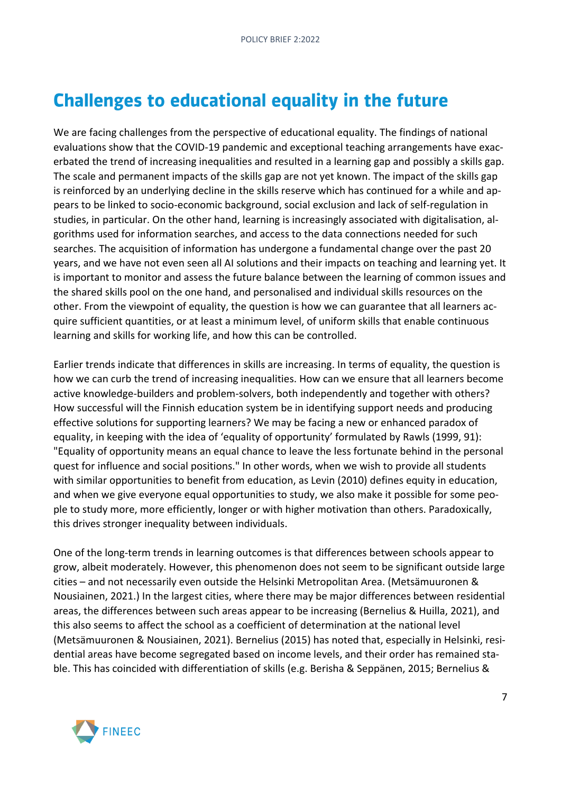# **Challenges to educational equality in the future**

We are facing challenges from the perspective of educational equality. The findings of national evaluations show that the COVID-19 pandemic and exceptional teaching arrangements have exacerbated the trend of increasing inequalities and resulted in a learning gap and possibly a skills gap. The scale and permanent impacts of the skills gap are not yet known. The impact of the skills gap is reinforced by an underlying decline in the skills reserve which has continued for a while and appears to be linked to socio-economic background, social exclusion and lack of self-regulation in studies, in particular. On the other hand, learning is increasingly associated with digitalisation, algorithms used for information searches, and access to the data connections needed for such searches. The acquisition of information has undergone a fundamental change over the past 20 years, and we have not even seen all AI solutions and their impacts on teaching and learning yet. It is important to monitor and assess the future balance between the learning of common issues and the shared skills pool on the one hand, and personalised and individual skills resources on the other. From the viewpoint of equality, the question is how we can guarantee that all learners acquire sufficient quantities, or at least a minimum level, of uniform skills that enable continuous learning and skills for working life, and how this can be controlled.

Earlier trends indicate that differences in skills are increasing. In terms of equality, the question is how we can curb the trend of increasing inequalities. How can we ensure that all learners become active knowledge-builders and problem-solvers, both independently and together with others? How successful will the Finnish education system be in identifying support needs and producing effective solutions for supporting learners? We may be facing a new or enhanced paradox of equality, in keeping with the idea of 'equality of opportunity' formulated by Rawls (1999, 91): "Equality of opportunity means an equal chance to leave the less fortunate behind in the personal quest for influence and social positions." In other words, when we wish to provide all students with similar opportunities to benefit from education, as Levin (2010) defines equity in education, and when we give everyone equal opportunities to study, we also make it possible for some people to study more, more efficiently, longer or with higher motivation than others. Paradoxically, this drives stronger inequality between individuals.

One of the long-term trends in learning outcomes is that differences between schools appear to grow, albeit moderately. However, this phenomenon does not seem to be significant outside large cities – and not necessarily even outside the Helsinki Metropolitan Area. (Metsämuuronen & Nousiainen, 2021.) In the largest cities, where there may be major differences between residential areas, the differences between such areas appear to be increasing (Bernelius & Huilla, 2021), and this also seems to affect the school as a coefficient of determination at the national level (Metsämuuronen & Nousiainen, 2021). Bernelius (2015) has noted that, especially in Helsinki, residential areas have become segregated based on income levels, and their order has remained stable. This has coincided with differentiation of skills (e.g. Berisha & Seppänen, 2015; Bernelius &

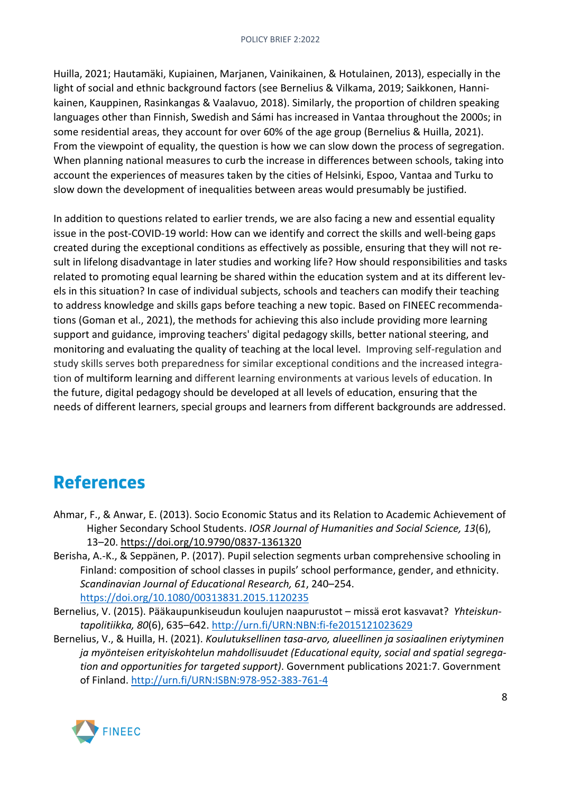Huilla, 2021; Hautamäki, Kupiainen, Marjanen, Vainikainen, & Hotulainen, 2013), especially in the light of social and ethnic background factors (see Bernelius & Vilkama, 2019; Saikkonen, Hannikainen, Kauppinen, Rasinkangas & Vaalavuo, 2018). Similarly, the proportion of children speaking languages other than Finnish, Swedish and Sámi has increased in Vantaa throughout the 2000s; in some residential areas, they account for over 60% of the age group (Bernelius & Huilla, 2021). From the viewpoint of equality, the question is how we can slow down the process of segregation. When planning national measures to curb the increase in differences between schools, taking into account the experiences of measures taken by the cities of Helsinki, Espoo, Vantaa and Turku to slow down the development of inequalities between areas would presumably be justified.

In addition to questions related to earlier trends, we are also facing a new and essential equality issue in the post-COVID-19 world: How can we identify and correct the skills and well-being gaps created during the exceptional conditions as effectively as possible, ensuring that they will not result in lifelong disadvantage in later studies and working life? How should responsibilities and tasks related to promoting equal learning be shared within the education system and at its different levels in this situation? In case of individual subjects, schools and teachers can modify their teaching to address knowledge and skills gaps before teaching a new topic. Based on FINEEC recommendations (Goman et al., 2021), the methods for achieving this also include providing more learning support and guidance, improving teachers' digital pedagogy skills, better national steering, and monitoring and evaluating the quality of teaching at the local level. Improving self-regulation and study skills serves both preparedness for similar exceptional conditions and the increased integration of multiform learning and different learning environments at various levels of education. In the future, digital pedagogy should be developed at all levels of education, ensuring that the needs of different learners, special groups and learners from different backgrounds are addressed.

### **References**

- Ahmar, F., & Anwar, E. (2013). Socio Economic Status and its Relation to Academic Achievement of Higher Secondary School Students. *IOSR Journal of Humanities and Social Science, 13*(6), 13–20.<https://doi.org/10.9790/0837-1361320>
- Berisha, A.-K., & Seppänen, P. (2017). Pupil selection segments urban comprehensive schooling in Finland: composition of school classes in pupils' school performance, gender, and ethnicity. *Scandinavian Journal of Educational Research, 61*, 240–254. <https://doi.org/10.1080/00313831.2015.1120235>
- Bernelius, V. (2015). Pääkaupunkiseudun koulujen naapurustot missä erot kasvavat? *Yhteiskuntapolitiikka, 80*(6), 635–642.<http://urn.fi/URN:NBN:fi-fe2015121023629>
- Bernelius, V., & Huilla, H. (2021). *Koulutuksellinen tasa-arvo, alueellinen ja sosiaalinen eriytyminen ja myönteisen erityiskohtelun mahdollisuudet (Educational equity, social and spatial segregation and opportunities for targeted support)*. Government publications 2021:7. Government of Finland.<http://urn.fi/URN:ISBN:978-952-383-761-4>

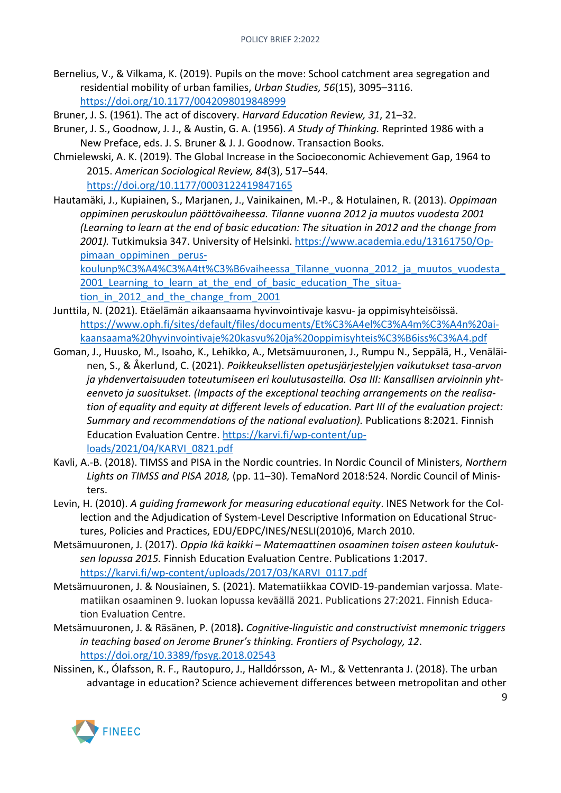- Bernelius, V., & Vilkama, K. (2019). Pupils on the move: School catchment area segregation and residential mobility of urban families, *Urban Studies, 56*(15), 3095–3116. <https://doi.org/10.1177/0042098019848999>
- Bruner, J. S. (1961). The act of discovery. *Harvard Education Review, 31*, 21–32.
- Bruner, J. S., Goodnow, J. J., & Austin, G. A. (1956). *A Study of Thinking.* Reprinted 1986 with a New Preface, eds. J. S. Bruner & J. J. Goodnow. Transaction Books.
- Chmielewski, A. K. (2019). The Global Increase in the Socioeconomic Achievement Gap, 1964 to 2015. *American Sociological Review, 84*(3), 517–544. <https://doi.org/10.1177/0003122419847165>
- Hautamäki, J., Kupiainen, S., Marjanen, J., Vainikainen, M.-P., & Hotulainen, R. (2013). *Oppimaan oppiminen peruskoulun päättövaiheessa. Tilanne vuonna 2012 ja muutos vuodesta 2001 (Learning to learn at the end of basic education: The situation in 2012 and the change from 2001).* Tutkimuksia 347. University of Helsinki. [https://www.academia.edu/13161750/Op](https://www.academia.edu/13161750/Oppimaan_oppiminen%20_peruskoulunpäättövaiheessa_Tilanne_vuonna_2012_ja_muutos_vuodesta_2001_Learning_to_learn_at_the_end_of_basic_education_The_situation_in_2012_and_the_change_from_2001)[pimaan\\_oppiminen \\_perus-](https://www.academia.edu/13161750/Oppimaan_oppiminen%20_peruskoulunpäättövaiheessa_Tilanne_vuonna_2012_ja_muutos_vuodesta_2001_Learning_to_learn_at_the_end_of_basic_education_The_situation_in_2012_and_the_change_from_2001)

[koulunp%C3%A4%C3%A4tt%C3%B6vaiheessa\\_Tilanne\\_vuonna\\_2012\\_ja\\_muutos\\_vuodesta\\_](https://www.academia.edu/13161750/Oppimaan_oppiminen%20_peruskoulunpäättövaiheessa_Tilanne_vuonna_2012_ja_muutos_vuodesta_2001_Learning_to_learn_at_the_end_of_basic_education_The_situation_in_2012_and_the_change_from_2001) 2001 Learning to learn at the end of basic education The situation in 2012 and the change from 2001

- Junttila, N. (2021). Etäelämän aikaansaama hyvinvointivaje kasvu- ja oppimisyhteisöissä. [https://www.oph.fi/sites/default/files/documents/Et%C3%A4el%C3%A4m%C3%A4n%20ai](https://www.oph.fi/sites/default/files/documents/Etäelämän%20aikaansaama%20hyvinvointivaje%20kasvu%20ja%20oppimisyhteisöissä.pdf)[kaansaama%20hyvinvointivaje%20kasvu%20ja%20oppimisyhteis%C3%B6iss%C3%A4.pdf](https://www.oph.fi/sites/default/files/documents/Etäelämän%20aikaansaama%20hyvinvointivaje%20kasvu%20ja%20oppimisyhteisöissä.pdf)
- Goman, J., Huusko, M., Isoaho, K., Lehikko, A., Metsämuuronen, J., Rumpu N., Seppälä, H., Venäläinen, S., & Åkerlund, C. (2021). *Poikkeuksellisten opetusjärjestelyjen vaikutukset tasa-arvon ja yhdenvertaisuuden toteutumiseen eri koulutusasteilla. Osa III: Kansallisen arvioinnin yhteenveto ja suositukset. (Impacts of the exceptional teaching arrangements on the realisation of equality and equity at different levels of education. Part III of the evaluation project: Summary and recommendations of the national evaluation).* Publications 8:2021. Finnish Education Evaluation Centre. [https://karvi.fi/wp-content/up](https://karvi.fi/wp-content/uploads/2021/04/KARVI_0821.pdf)[loads/2021/04/KARVI\\_0821.pdf](https://karvi.fi/wp-content/uploads/2021/04/KARVI_0821.pdf)
- Kavli, A.-B. (2018). TIMSS and PISA in the Nordic countries. In Nordic Council of Ministers, *Northern Lights on TIMSS and PISA 2018,* (pp. 11–30). TemaNord 2018:524. Nordic Council of Ministers.
- Levin, H. (2010). *A guiding framework for measuring educational equity*. INES Network for the Collection and the Adjudication of System-Level Descriptive Information on Educational Structures, Policies and Practices, EDU/EDPC/INES/NESLI(2010)6, March 2010.
- Metsämuuronen, J. (2017). *Oppia Ikä kaikki Matemaattinen osaaminen toisen asteen koulutuksen lopussa 2015.* Finnish Education Evaluation Centre. Publications 1:2017. [https://karvi.fi/wp-content/uploads/2017/03/KARVI\\_0117.pdf](https://karvi.fi/app/uploads/2017/03/KARVI_0117.pdf)
- Metsämuuronen, J. & Nousiainen, S. (2021). Matematiikkaa COVID-19-pandemian varjossa. Matematiikan osaaminen 9. luokan lopussa keväällä 2021. Publications 27:2021. Finnish Education Evaluation Centre.
- Metsämuuronen, J. & Räsänen, P. (2018**).** *Cognitive-linguistic and constructivist mnemonic triggers in teaching based on Jerome Bruner's thinking. Frontiers of Psychology, 12*. <https://doi.org/10.3389/fpsyg.2018.02543>
- Nissinen, K., Ólafsson, R. F., Rautopuro, J., Halldórsson, A- M., & Vettenranta J. (2018). The urban advantage in education? Science achievement differences between metropolitan and other